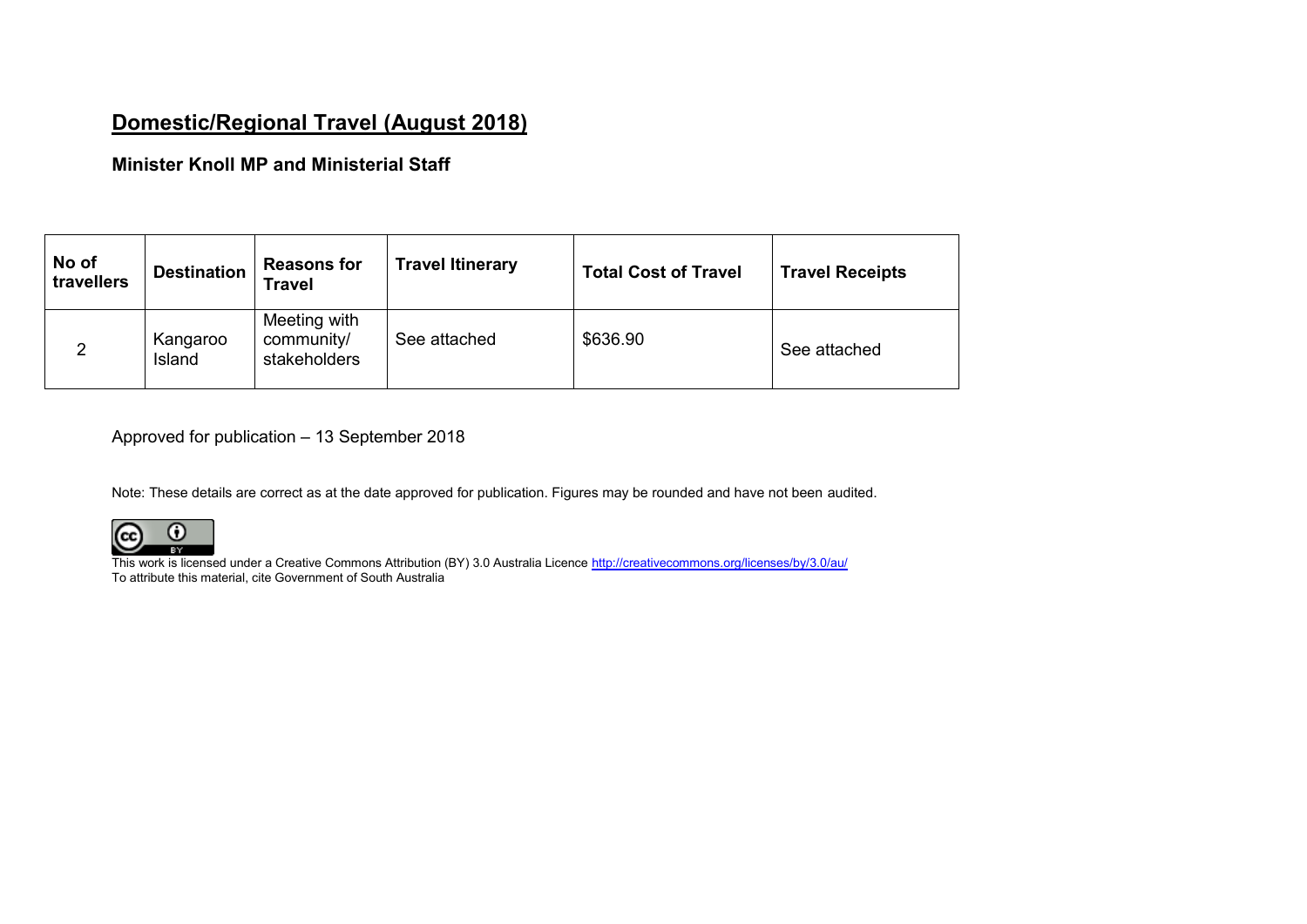# **Domestic/Regional Travel (August 2018)**

## **Minister Knoll MP and Ministerial Staff**

| No of<br>travellers | <b>Destination</b> | <b>Reasons for</b><br><b>Travel</b>        | <b>Travel Itinerary</b> | <b>Total Cost of Travel</b> | <b>Travel Receipts</b> |
|---------------------|--------------------|--------------------------------------------|-------------------------|-----------------------------|------------------------|
| 2                   | Kangaroo<br>Island | Meeting with<br>community/<br>stakeholders | See attached            | \$636.90                    | See attached           |

Approved for publication – 13 September 2018

Note: These details are correct as at the date approved for publication. Figures may be rounded and have not been audited.



This work is licensed under a Creative Commons Attribution (BY) 3.0 Australia Licence <u>http://creativecommons.org/licenses/by/3.0/au/</u> To attribute this material, cite Government of South Australia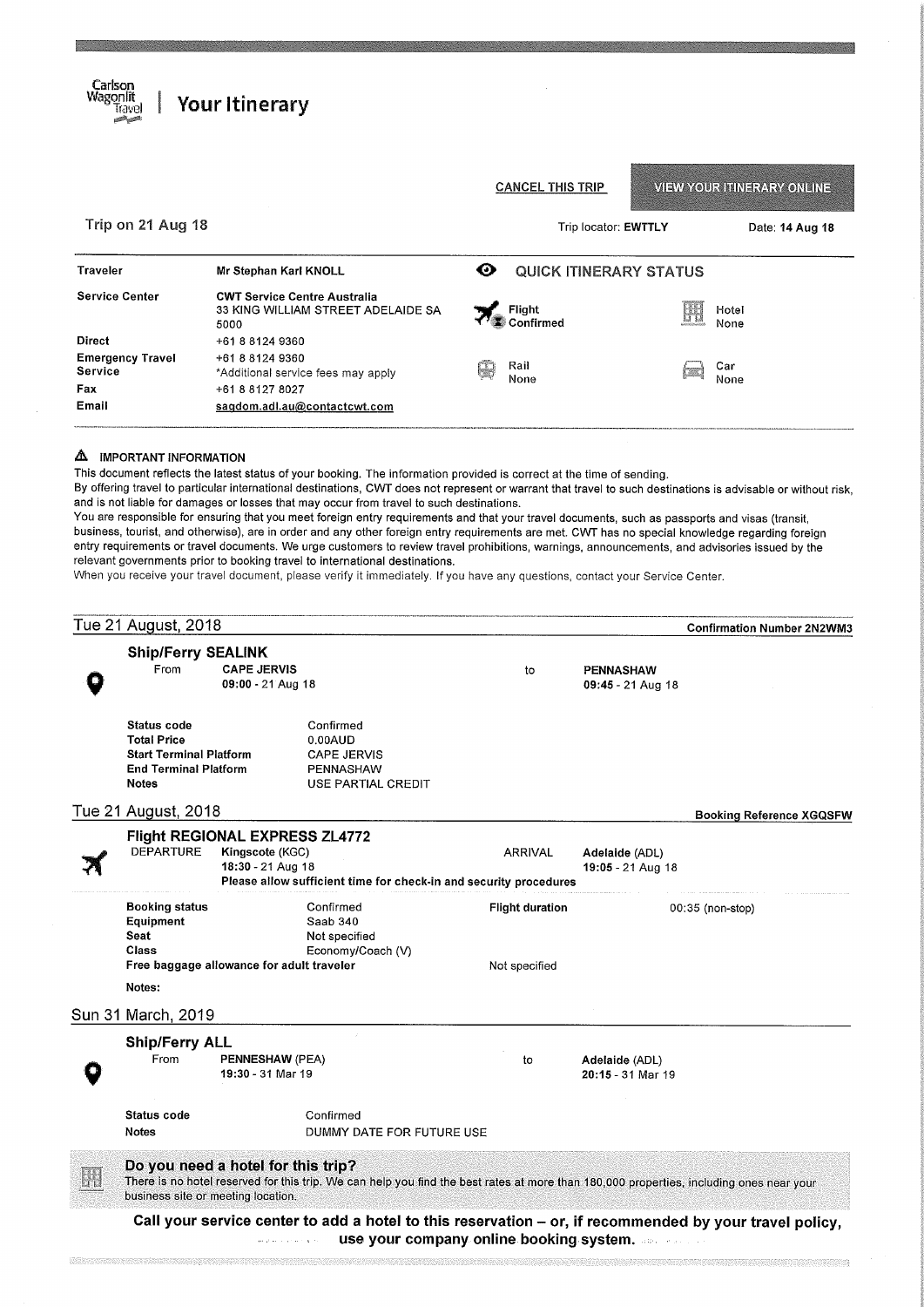| Carlson<br>Wagonlit<br>irave.             | <b>Your Itinerary</b>                                                             |   |                               |    |                                   |  |
|-------------------------------------------|-----------------------------------------------------------------------------------|---|-------------------------------|----|-----------------------------------|--|
|                                           |                                                                                   |   | <b>CANCEL THIS TRIP</b>       |    | <b>VIEW YOUR ITINERARY ONLINE</b> |  |
| Trip on 21 Aug 18                         |                                                                                   |   | Trip locator: EWTTLY          |    | Date: 14 Aug 18                   |  |
| Traveler                                  | Mr Stephan Karl KNOLL                                                             | ⊙ | <b>QUICK ITINERARY STATUS</b> |    |                                   |  |
| <b>Service Center</b>                     | <b>CWT Service Centre Australia</b><br>33 KING WILLIAM STREET ADELAIDE SA<br>5000 |   | <b>Flight</b><br>Confirmed    | H. | Hotel<br>None                     |  |
| <b>Direct</b>                             | +61 8 8124 9360                                                                   |   |                               |    |                                   |  |
| <b>Emergency Travel</b><br><b>Service</b> | +61 8 8124 9360<br>*Additional service fees may apply                             |   | Rail<br>None                  |    | Car<br>None                       |  |
| Fax                                       | +61 8 8127 8027                                                                   |   |                               |    |                                   |  |
| Email                                     | sagdom.adl.au@contactcwt.com                                                      |   |                               |    |                                   |  |

#### **A** IMPORTANT INFORMATION

This document reflects the latest status of your booking. The information provided is correct at the time of sending.

By offering travel to particular international destinations, CWT does not represent or warrant that travel to such destinations is advisable or without risk, and is not liable for damages or losses that may occur from travel to such destinations.

You are responsible for ensuring that you meet foreign entry requirements and that your travel documents, such as passports and visas (transit, business, tourist, and otherwise), are in order and any other foreign entry requirements are met. CWT has no special knowledge regarding foreign entry requirements or travel documents. We urge customers to review travel prohibitions, warnings, announcements, and advisories issued by the relevant governments prior to booking travel to international destinations.

When you receive your travel document, please verify it immediately. If you have any questions, contact your Service Center.

|   | Tue 21 August, 2018                                                                                          |                                                                               |                                                                                                                                         |                                         |                                       | <b>Confirmation Number 2N2WM3</b>                                                                       |
|---|--------------------------------------------------------------------------------------------------------------|-------------------------------------------------------------------------------|-----------------------------------------------------------------------------------------------------------------------------------------|-----------------------------------------|---------------------------------------|---------------------------------------------------------------------------------------------------------|
|   | <b>Ship/Ferry SEALINK</b><br>From                                                                            | <b>CAPE JERVIS</b><br>09:00 - 21 Aug 18                                       |                                                                                                                                         | to                                      | <b>PENNASHAW</b><br>09:45 - 21 Aug 18 |                                                                                                         |
|   | Status code<br><b>Total Price</b><br><b>Start Terminal Platform</b><br><b>End Terminal Platform</b><br>Notes |                                                                               | Confirmed<br>$0.00 \text{A}$ UD<br><b>CAPE JERVIS</b><br><b>PENNASHAW</b><br>USE PARTIAL CREDIT                                         |                                         |                                       |                                                                                                         |
|   | Tue 21 August, 2018                                                                                          |                                                                               |                                                                                                                                         |                                         |                                       | <b>Booking Reference XGQSFW</b>                                                                         |
|   | <b>DEPARTURE</b>                                                                                             | <b>Flight REGIONAL EXPRESS ZL4772</b><br>Kingscote (KGC)<br>18:30 - 21 Aug 18 | Please allow sufficient time for check-in and security procedures                                                                       | <b>ARRIVAL</b>                          | Adelaide (ADL)<br>19:05 - 21 Aug 18   |                                                                                                         |
|   | <b>Booking status</b><br>Equipment<br>Seat<br>Class<br>Free baggage allowance for adult traveler             |                                                                               | Confirmed<br>Saab 340<br>Not specified<br>Economy/Coach (V)                                                                             | <b>Flight duration</b><br>Not specified |                                       | 00:35 (non-stop)                                                                                        |
|   | Notes:<br>Sun 31 March, 2019                                                                                 |                                                                               |                                                                                                                                         |                                         |                                       |                                                                                                         |
|   | <b>Ship/Ferry ALL</b><br>From                                                                                | PENNESHAW (PEA)<br>19:30 - 31 Mar 19                                          |                                                                                                                                         | to                                      | Adelaide (ADL)<br>20:15 - 31 Mar 19   |                                                                                                         |
|   | Status code<br><b>Notes</b>                                                                                  |                                                                               | Confirmed<br>DUMMY DATE FOR FUTURE USE                                                                                                  |                                         |                                       |                                                                                                         |
| H | Do you need a hotel for this trip?<br>business site or meeting location.                                     |                                                                               | There is no hotel reserved for this trip. We can help you find the best rates at more than 180,000 properties, including ones near your |                                         |                                       |                                                                                                         |
|   |                                                                                                              | والمتحدث والحماجين والمحرومة                                                  | use your company online booking system.                                                                                                 |                                         |                                       | Call your service center to add a hotel to this reservation - or, if recommended by your travel policy, |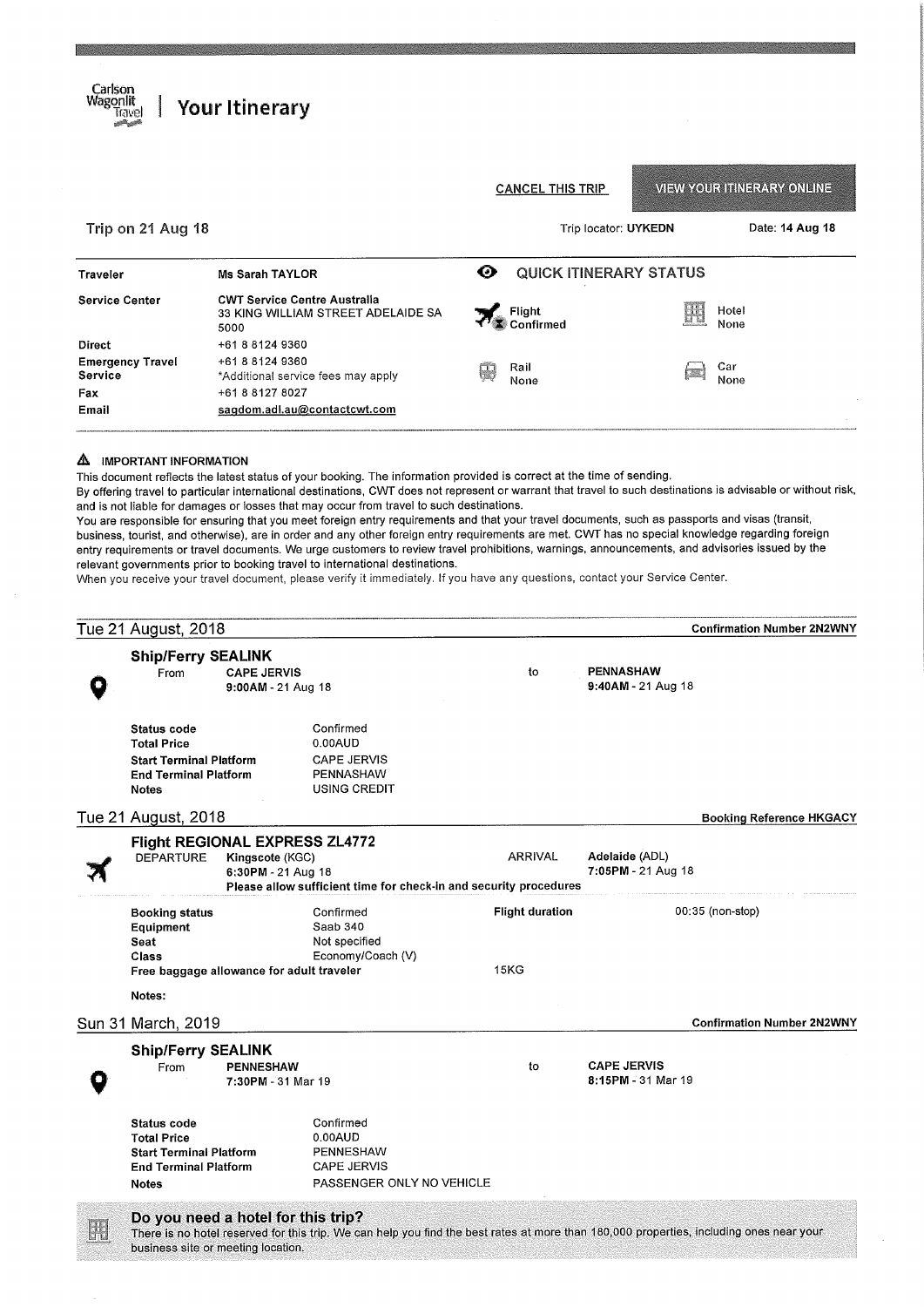| Carlson<br>Wagonlit<br>irave.                                                   | <b>Your Itinerary</b>                                                             |                            |  |                                   |
|---------------------------------------------------------------------------------|-----------------------------------------------------------------------------------|----------------------------|--|-----------------------------------|
|                                                                                 |                                                                                   | <b>CANCEL THIS TRIP</b>    |  | <b>VIEW YOUR ITINERARY ONLINE</b> |
| Trip on 21 Aug 18                                                               |                                                                                   | Trip locator: UYKEDN       |  | Date: 14 Aug 18                   |
| ø<br><b>QUICK ITINERARY STATUS</b><br><b>Ms Sarah TAYLOR</b><br><b>Traveler</b> |                                                                                   |                            |  |                                   |
| <b>Service Center</b>                                                           | <b>CWT Service Centre Australia</b><br>33 KING WILLIAM STREET ADELAIDE SA<br>5000 | <b>Flight</b><br>Confirmed |  | Hotel<br>None                     |
| <b>Direct</b>                                                                   | +61 8 8124 9360                                                                   |                            |  |                                   |
| <b>Emergency Travel</b><br>Service                                              | +61 8 8124 9360<br>*Additional service fees may apply                             | Rail<br>None               |  | Car<br>None                       |
| Fax                                                                             | +61 8 8127 8027                                                                   |                            |  |                                   |
| Email                                                                           | sagdom.adl.au@contactcwt.com                                                      |                            |  |                                   |

### **A** IMPORTANT INFORMATION

This document reflects the latest status of your booking. The information provided is correct at the time of sending.

By offering travel to particular international destinations, CWT does not represent or warrant that travel to such destinations is advisable or without risk, and is not liable for damages or losses that may occur from travel to such destinations.

You are responsible for ensuring that you meet foreign entry requirements and that your travel documents, such as passports and visas (transit, business, tourist, and otherwise), are in order and any other foreign entry requirements are met. CWT has no special knowledge regarding foreign entry requirements or travel documents. We urge customers to review travel prohibitions, warnings, announcements, and advisories issued by the relevant governments prior to booking travel to international destinations.

When you receive your travel document, please verify it immediately. If you have any questions, contact your Service Center.

| Tue 21 August, 2018                                                                                                        |                                        |                                                                                             |                        | <b>Confirmation Number 2N2WNY</b>        |  |
|----------------------------------------------------------------------------------------------------------------------------|----------------------------------------|---------------------------------------------------------------------------------------------|------------------------|------------------------------------------|--|
| <b>Ship/Ferry SEALINK</b><br><b>CAPE JERVIS</b><br>From<br>9:00AM - 21 Aug 18                                              |                                        |                                                                                             | to                     | <b>PENNASHAW</b><br>9:40AM - 21 Aug 18   |  |
| <b>Status code</b><br><b>Total Price</b><br><b>Start Terminal Platform</b><br><b>End Terminal Platform</b><br><b>Notes</b> |                                        | Confirmed<br>0.00AUD<br><b>CAPE JERVIS</b><br>PENNASHAW<br><b>USING CREDIT</b>              |                        |                                          |  |
| Tue 21 August, 2018                                                                                                        |                                        |                                                                                             |                        | <b>Booking Reference HKGACY</b>          |  |
| Flight REGIONAL EXPRESS ZL4772<br><b>DEPARTURE</b>                                                                         | Kingscote (KGC)<br>6:30PM - 21 Aug 18  |                                                                                             | ARRIVAL                | Adelaide (ADL)<br>7:05PM - 21 Aug 18     |  |
|                                                                                                                            |                                        | Please allow sufficient time for check-in and security procedures                           |                        |                                          |  |
| <b>Booking status</b><br>Equipment<br>Seat<br>Class                                                                        |                                        | Confirmed<br>Saab 340<br>Not specified<br>Economy/Coach (V)                                 | <b>Flight duration</b> | 00:35 (non-stop)                         |  |
| Free baggage allowance for adult traveler<br>Notes:                                                                        |                                        |                                                                                             | <b>15KG</b>            |                                          |  |
| Sun 31 March, 2019                                                                                                         |                                        |                                                                                             |                        | <b>Confirmation Number 2N2WNY</b>        |  |
| <b>Ship/Ferry SEALINK</b>                                                                                                  |                                        |                                                                                             |                        |                                          |  |
| From                                                                                                                       | <b>PENNESHAW</b><br>7:30PM - 31 Mar 19 |                                                                                             | to                     | <b>CAPE JERVIS</b><br>8:15PM - 31 Mar 19 |  |
| Status code<br><b>Total Price</b><br><b>Start Terminal Platform</b><br><b>End Terminal Platform</b><br><b>Notes</b>        |                                        | Confirmed<br>0.00AUD<br><b>PENNESHAW</b><br><b>CAPE JERVIS</b><br>PASSENGER ONLY NO VEHICLE |                        |                                          |  |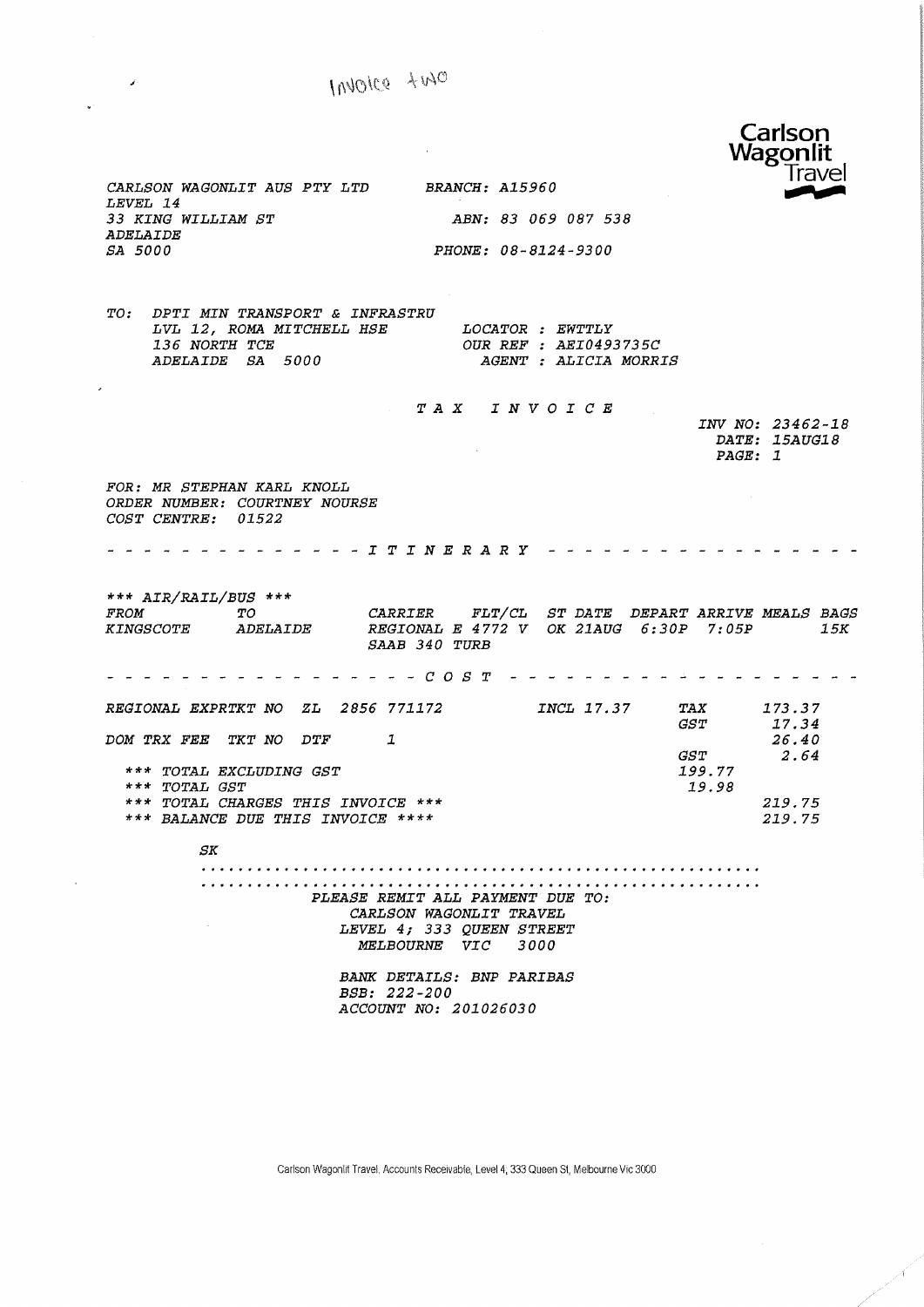#### Carlson Wagonlit **Trave** CARLSON WAQONLIT AUS PTY LTD BRANCH: A15960 LEVEL 14 33 KING WILLIAM ST ABN: 83 069 087 538 ADELAIDE SA 5000 PHONE: 08-8124-9300 TO: DPTI MIN TRANSPORT & INFRASTRU LVL 12, ROMA MITCHELL HSE LOCATOR : EWTTLY 136 NORTH TCE OUR REF : AEI0493735C ADELAIDE SA 5000 AGENT : ALICIA MORRIS TAX INVOICE INV NO: 23462-18 DATE: 15AUG18 PAGE: 1 FOR: MR STEPHAN KARL KNOLL ORDER NUMBER: COURTNEY NOURSE COST CENTRE: 01522 -------------*ITINERARY -----------------*\*\*\* AIR/RAIL/BUS \*\*\* FROM TO CARRIER FLT/CL ST DATE DEPART ARRIVE MEALS BAGS OK 21AUG 6:3 OP 7:05P 15K KINGSCOTE ADELAIDE REGIONAL E 4772 V SAAB 340 TURB COST REGIONAL EXPRTKT NO ZL 2856 771172 INCL 17.37 TAX 173 .37 GST 17.34 DOM TRX FEE TKT NO DTF 1 26.40 GST 2.64 199. 77 \*\*\* TOTAL EXCLUDING GST \*\*\* TOTAL QST 19. 98 \*\*\* TOTAL CHARGES THIS INVOICE \*\*\* 225.75 \*\*\* BALANCE DUE THIS INVOICE \*\*\*\* 219. 75 SK PLEASE REMIT ALL PAYMENT DUE TO: CARLSON WAQONLIT TRAVEL LEVEL 4} 333 QUEEN STREET MELBOURNE VIC 3000 BANK DETAILS: BNP PARIBAS BSB: 222-200 ACCOUNT NO: 201026030

Carlson Wagonlit Travel, Accounts Receivable, Level 4,333 Queen Sl, Melbourne Vie 3000

Invoice two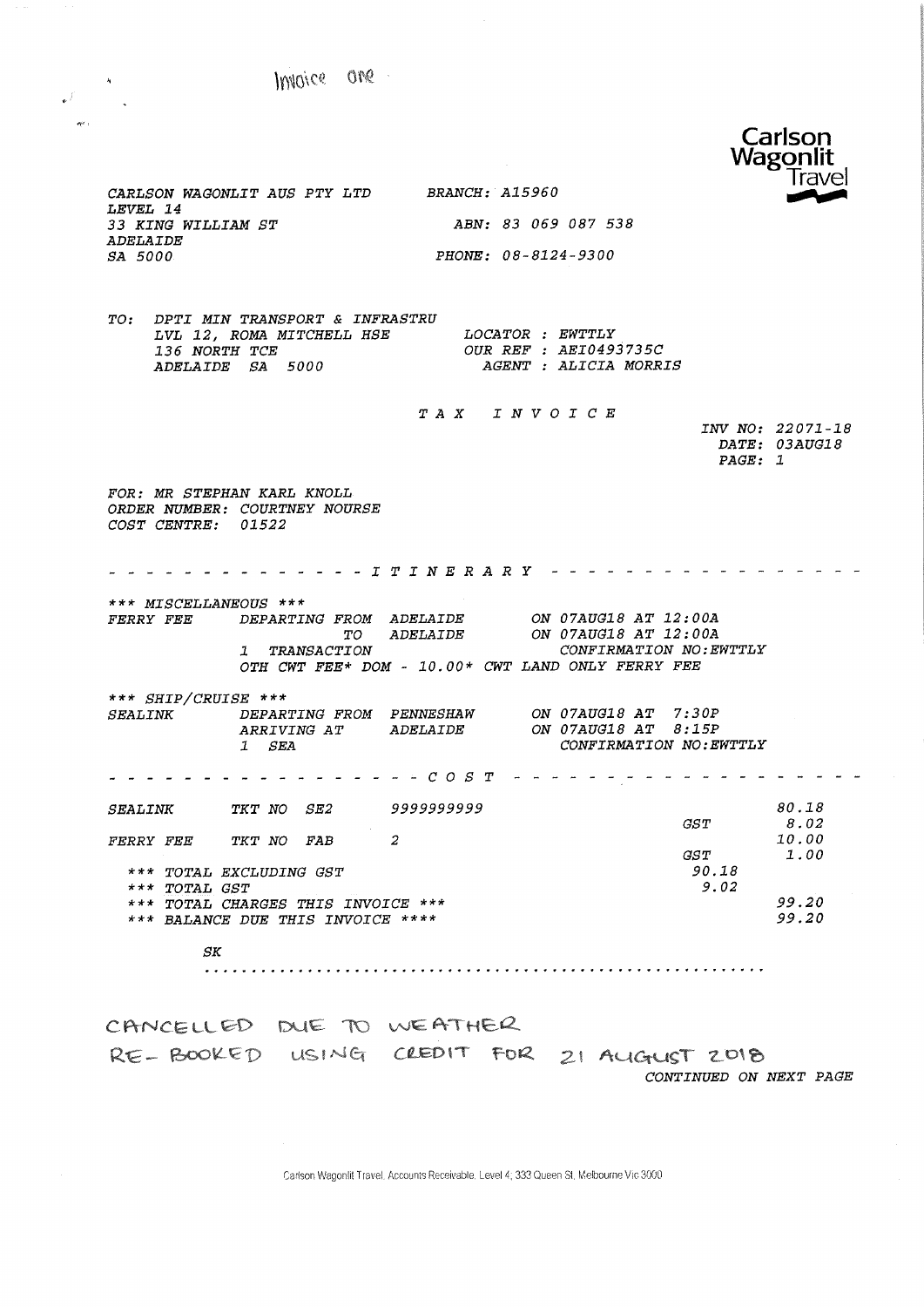Wagonlit **Travel** CARLSON WAQONLIT AUS PTY LTD BRANCH: A15960 LEVEL 14 ABN: 83 069 087 538 33 KING WILLIAM ST ADELAIDE PHONE: 08-8124-9300 SA 5000 TO: DPTI MIN TRANSPORT & INFRASTRU LVL 12, ROMA MITCHELL HSE LOCATOR 136 NORTH TCE OUR REF LOCATOR : EWTTLY 136 NORTH TCE<br>ADELAIDE SA 5000 OUR REF : AEI0493735C AGENT : ALICIA MORRIS TAX I N V 0 I C E INV NO: 22071-18 DATE: 03AUG18 PAGE: 1 FOR: MR STEPHAN KARL KNOLL ORDER NUMBER: COURTNEY NOURSE COST CENTRE: 01522 . . . . . . . . . . . . . *I T I N E R A R Y \_\_\_\_\_\_\_\_\_\_\_\_\_\_\_* . . . . . \*\*\* MISCELLANEOUS \*\*\* FERRY FEE DEPARTING FROM ADELAIDE ON 07AUG18 AT 12:00A TO ADELAIDE ON 07AUG18 AT 12:00A<br>TRANSACTION ONELAIDE CONFIRMATION NO:E CONFIRMATION NO: EWTTLY OTH CWT FEE\* DOM - 10.00\* CWT LAND ONLY FERRY FEE \*\*\* SHIP/CRUISE \*\*\* SEALINK DEPARTING FROM PENNESHAW ON 07AUG18 AT 7:3 OP ARRIVING AT ADELAIDE ON 07AUG18 AT 8:15P 1 SEA CONFIRMATION NO:EWTTLY COST 80.18 SEALINK TKT NO SE2 9999999999 GST 8.02 2 10.00 FERRY FEE TKT NO FAB GST 1.00 \*\*\* TOTAL EXCLUDING GST 90. 18 \*\*\* TOTAL GST 5. 02 \*\*\* TOTAL CHARGES THIS INVOICE \*\*\* 99.20 99.20 \*\*\* BALANCE DUE THIS INVOICE \*\*\*\* SK 

Carlson

CANCELLED DUE TO WEATHER RE-BOOKED USING CLEDIT FOR 21 AUGUST 2018 CONTINUED ON NEXT PAGE

Carlson Wagonlit Travel. Accounts Receivable. Level 4; 333 Queen St, Melbourne Vic 3000

Invoice are

 $\mathcal{L}^f$  $\sigma_{\rm C}^{\rm tot}$  :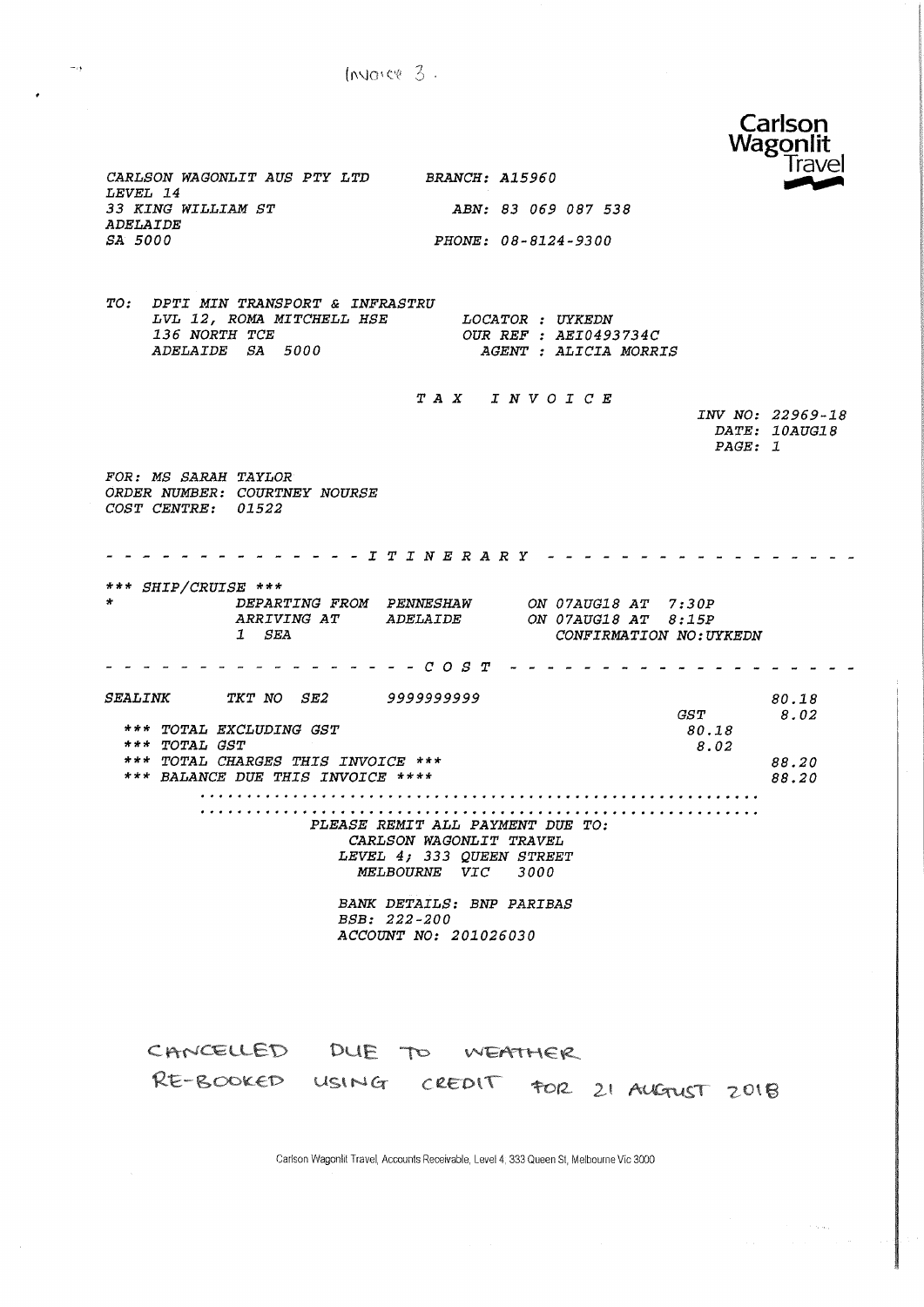Invarce  $3$ .



CARLSON WAGONLIT AUS PTY LTD BRANCH: A15960 LEVEL 14 33 KING WILLIAM ST ABN: 83 069 087 538 **ADELAIDE** SA 5000 PHONE: 08-8124-9300 TO: DPTI MIN TRANSPORT & INFRASTRU LOCATOR : UYKEDN LVL 12, ROMA MITCHELL HSE 136 NORTH TCE OUR REF : AEI0493734C ADELAIDE SA 5000 AGENT : ALICIA MORRIS TAX INVOICE INV NO: 22969-18  $\textit{DATE: } \textit{10AUG18}$ PAGE: 1 FOR: MS SARAH TAYLOR ORDER NUMBER: COURTNEY NOURSE COST CENTRE: 01522 \*\*\* SHIP/CRUISE \*\*\* DEPARTING FROM PENNESHAW ON 07AUG18 AT 7:30P<br>ARRIVING AT ADELAIDE ON 07AUG18 AT 8:15P ARRIVING AT ADELAIDE  $1$   $SEA$ CONFIRMATION NO: UYKEDN - - - - - - - - - - - - - - - *C O S T* - - - - - - - - - - - -المناسب المناسب SEALINK TKT NO SE2 999999999 80.18  $GST$ 8.02 \*\*\* TOTAL EXCLUDING GST 80.18 \*\*\* TOTAL GST 8.02 \*\*\* TOTAL CHARGES THIS INVOICE \*\*\* 88.20 \*\*\* BALANCE DUE THIS INVOICE \*\*\*\* 88.20 PLEASE REMIT ALL PAYMENT DUE TO: CARLSON WAGONLIT TRAVEL LEVEL 4; 333 QUEEN STREET MELBOURNE VIC 3000 **BANK DETAILS: BNP PARIBAS** BSB: 222-200 ACCOUNT NO: 201026030 CANCELLED DUE TO WEATHER RE-BOOKED USING CREDIT FOR 21 AUGTUST 2018

Carlson Wagonlit Travel, Accounts Receivable, Level 4, 333 Queen St, Melbourne Vic 3000

 $\sim$   $\alpha$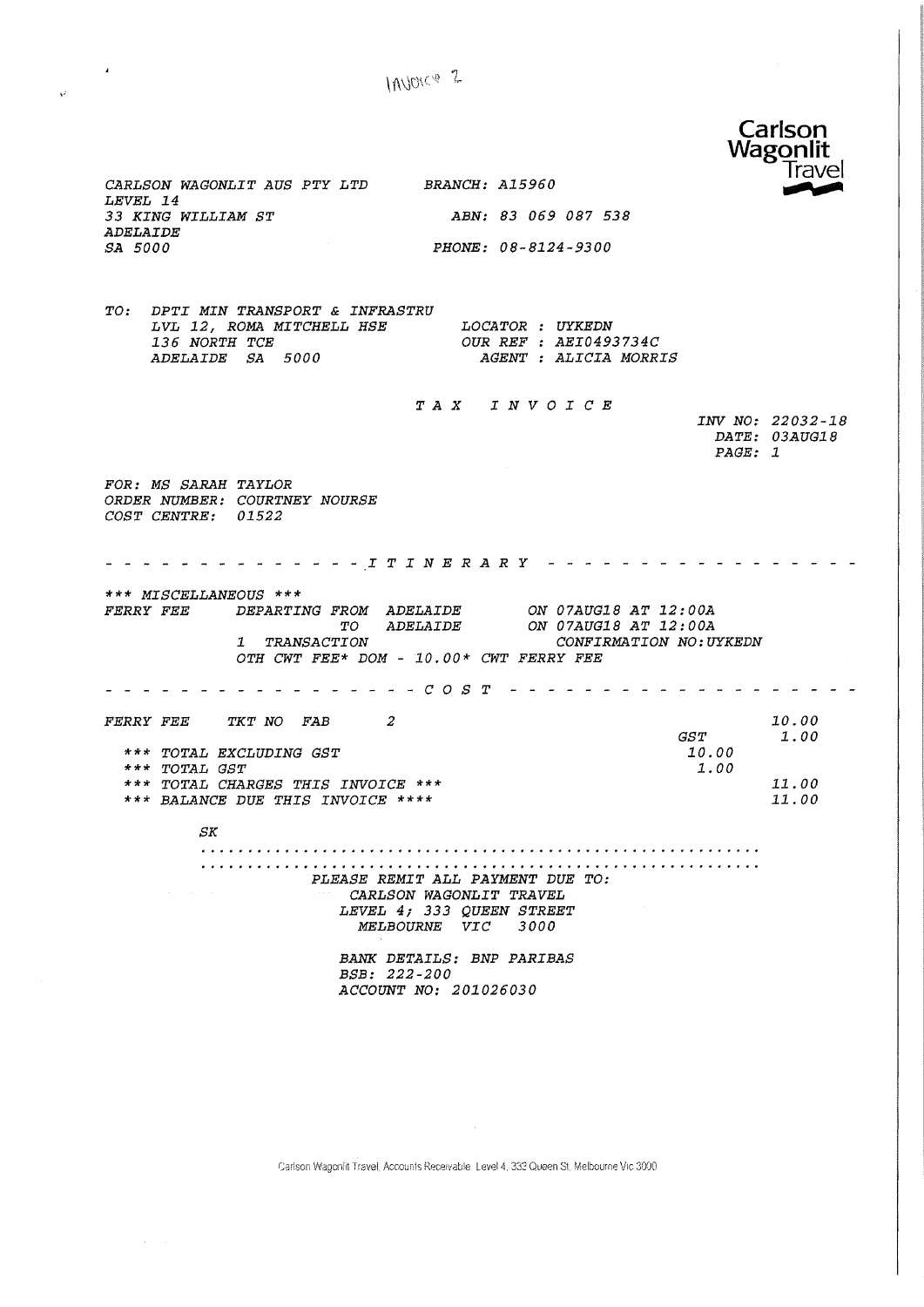$10000e<sup>2</sup>$ 



Carlson Wagonlit Travel, Accounts Receivable, Level 4, 333 Queen St. Melbourne Vic. 3000

 $\mathcal{A}$